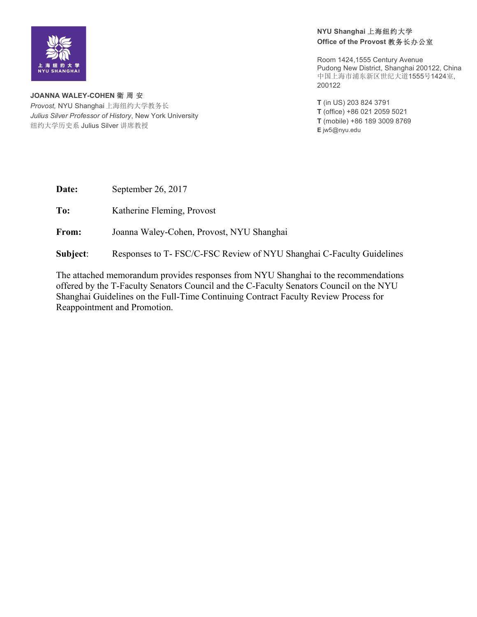

**NYU Shanghai** 上海纽约大学 **Office of the Provost** 教务长办公室

Room 1424,1555 Century Avenue Pudong New District, Shanghai 200122, China 中国上海市浦东新区世纪大道1555号1424室, 200122

**T** (in US) 203 824 3791 **T** (office) +86 021 2059 5021 **T** (mobile) +86 189 3009 8769 **E** jw5@nyu.edu

**JOANNA WALEY-COHEN** 衛 周 安 *Provost,* NYU Shanghai 上海纽约大学教务长 *Julius Silver Professor of History*, New York University 纽约大学历史系 Julius Silver 讲席教授

**Date:** September 26, 2017

**To:** Katherine Fleming, Provost

**From:** Joanna Waley-Cohen, Provost, NYU Shanghai

**Subject**: Responses to T- FSC/C-FSC Review of NYU Shanghai C-Faculty Guidelines

The attached memorandum provides responses from NYU Shanghai to the recommendations offered by the T-Faculty Senators Council and the C-Faculty Senators Council on the NYU Shanghai Guidelines on the Full-Time Continuing Contract Faculty Review Process for Reappointment and Promotion.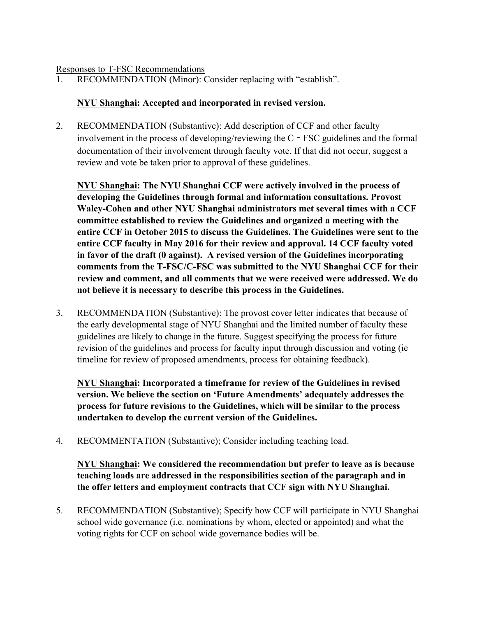#### Responses to T-FSC Recommendations

1. RECOMMENDATION (Minor): Consider replacing with "establish".

#### **NYU Shanghai: Accepted and incorporated in revised version.**

2. RECOMMENDATION (Substantive): Add description of CCF and other faculty involvement in the process of developing/reviewing the C‐FSC guidelines and the formal documentation of their involvement through faculty vote. If that did not occur, suggest a review and vote be taken prior to approval of these guidelines.

**NYU Shanghai: The NYU Shanghai CCF were actively involved in the process of developing the Guidelines through formal and information consultations. Provost Waley-Cohen and other NYU Shanghai administrators met several times with a CCF committee established to review the Guidelines and organized a meeting with the entire CCF in October 2015 to discuss the Guidelines. The Guidelines were sent to the entire CCF faculty in May 2016 for their review and approval. 14 CCF faculty voted in favor of the draft (0 against). A revised version of the Guidelines incorporating comments from the T-FSC/C-FSC was submitted to the NYU Shanghai CCF for their review and comment, and all comments that we were received were addressed. We do not believe it is necessary to describe this process in the Guidelines.** 

3. RECOMMENDATION (Substantive): The provost cover letter indicates that because of the early developmental stage of NYU Shanghai and the limited number of faculty these guidelines are likely to change in the future. Suggest specifying the process for future revision of the guidelines and process for faculty input through discussion and voting (ie timeline for review of proposed amendments, process for obtaining feedback).

**NYU Shanghai: Incorporated a timeframe for review of the Guidelines in revised version. We believe the section on 'Future Amendments' adequately addresses the process for future revisions to the Guidelines, which will be similar to the process undertaken to develop the current version of the Guidelines.** 

4. RECOMMENTATION (Substantive); Consider including teaching load.

**NYU Shanghai: We considered the recommendation but prefer to leave as is because teaching loads are addressed in the responsibilities section of the paragraph and in the offer letters and employment contracts that CCF sign with NYU Shanghai.** 

5. RECOMMENDATION (Substantive); Specify how CCF will participate in NYU Shanghai school wide governance (i.e. nominations by whom, elected or appointed) and what the voting rights for CCF on school wide governance bodies will be.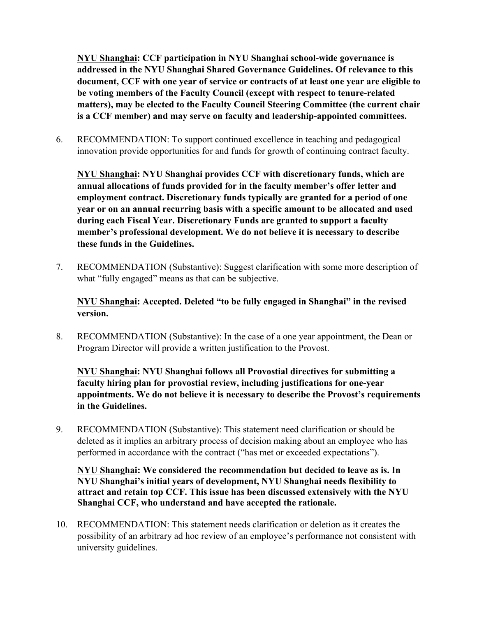**NYU Shanghai: CCF participation in NYU Shanghai school-wide governance is addressed in the NYU Shanghai Shared Governance Guidelines. Of relevance to this document, CCF with one year of service or contracts of at least one year are eligible to be voting members of the Faculty Council (except with respect to tenure-related matters), may be elected to the Faculty Council Steering Committee (the current chair is a CCF member) and may serve on faculty and leadership-appointed committees.** 

6. RECOMMENDATION: To support continued excellence in teaching and pedagogical innovation provide opportunities for and funds for growth of continuing contract faculty.

**NYU Shanghai: NYU Shanghai provides CCF with discretionary funds, which are annual allocations of funds provided for in the faculty member's offer letter and employment contract. Discretionary funds typically are granted for a period of one year or on an annual recurring basis with a specific amount to be allocated and used during each Fiscal Year. Discretionary Funds are granted to support a faculty member's professional development. We do not believe it is necessary to describe these funds in the Guidelines.**

7. RECOMMENDATION (Substantive): Suggest clarification with some more description of what "fully engaged" means as that can be subjective.

**NYU Shanghai: Accepted. Deleted "to be fully engaged in Shanghai" in the revised version.**

8. RECOMMENDATION (Substantive): In the case of a one year appointment, the Dean or Program Director will provide a written justification to the Provost.

**NYU Shanghai: NYU Shanghai follows all Provostial directives for submitting a faculty hiring plan for provostial review, including justifications for one-year appointments. We do not believe it is necessary to describe the Provost's requirements in the Guidelines.**

9. RECOMMENDATION (Substantive): This statement need clarification or should be deleted as it implies an arbitrary process of decision making about an employee who has performed in accordance with the contract ("has met or exceeded expectations").

**NYU Shanghai: We considered the recommendation but decided to leave as is. In NYU Shanghai's initial years of development, NYU Shanghai needs flexibility to attract and retain top CCF. This issue has been discussed extensively with the NYU Shanghai CCF, who understand and have accepted the rationale.**

10. RECOMMENDATION: This statement needs clarification or deletion as it creates the possibility of an arbitrary ad hoc review of an employee's performance not consistent with university guidelines.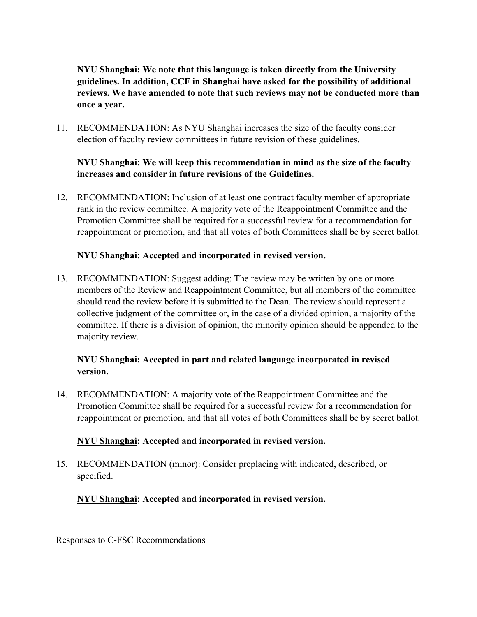**NYU Shanghai: We note that this language is taken directly from the University guidelines. In addition, CCF in Shanghai have asked for the possibility of additional reviews. We have amended to note that such reviews may not be conducted more than once a year.**

11. RECOMMENDATION: As NYU Shanghai increases the size of the faculty consider election of faculty review committees in future revision of these guidelines.

## **NYU Shanghai: We will keep this recommendation in mind as the size of the faculty increases and consider in future revisions of the Guidelines.**

12. RECOMMENDATION: Inclusion of at least one contract faculty member of appropriate rank in the review committee. A majority vote of the Reappointment Committee and the Promotion Committee shall be required for a successful review for a recommendation for reappointment or promotion, and that all votes of both Committees shall be by secret ballot.

# **NYU Shanghai: Accepted and incorporated in revised version.**

13. RECOMMENDATION: Suggest adding: The review may be written by one or more members of the Review and Reappointment Committee, but all members of the committee should read the review before it is submitted to the Dean. The review should represent a collective judgment of the committee or, in the case of a divided opinion, a majority of the committee. If there is a division of opinion, the minority opinion should be appended to the majority review.

# **NYU Shanghai: Accepted in part and related language incorporated in revised version.**

14. RECOMMENDATION: A majority vote of the Reappointment Committee and the Promotion Committee shall be required for a successful review for a recommendation for reappointment or promotion, and that all votes of both Committees shall be by secret ballot.

# **NYU Shanghai: Accepted and incorporated in revised version.**

15. RECOMMENDATION (minor): Consider preplacing with indicated, described, or specified.

# **NYU Shanghai: Accepted and incorporated in revised version.**

Responses to C-FSC Recommendations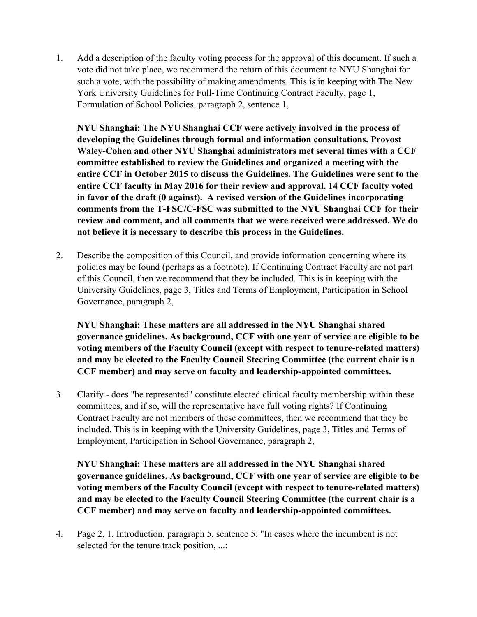1. Add a description of the faculty voting process for the approval of this document. If such a vote did not take place, we recommend the return of this document to NYU Shanghai for such a vote, with the possibility of making amendments. This is in keeping with The New York University Guidelines for Full-Time Continuing Contract Faculty, page 1, Formulation of School Policies, paragraph 2, sentence 1,

**NYU Shanghai: The NYU Shanghai CCF were actively involved in the process of developing the Guidelines through formal and information consultations. Provost Waley-Cohen and other NYU Shanghai administrators met several times with a CCF committee established to review the Guidelines and organized a meeting with the entire CCF in October 2015 to discuss the Guidelines. The Guidelines were sent to the entire CCF faculty in May 2016 for their review and approval. 14 CCF faculty voted in favor of the draft (0 against). A revised version of the Guidelines incorporating comments from the T-FSC/C-FSC was submitted to the NYU Shanghai CCF for their review and comment, and all comments that we were received were addressed. We do not believe it is necessary to describe this process in the Guidelines.**

2. Describe the composition of this Council, and provide information concerning where its policies may be found (perhaps as a footnote). If Continuing Contract Faculty are not part of this Council, then we recommend that they be included. This is in keeping with the University Guidelines, page 3, Titles and Terms of Employment, Participation in School Governance, paragraph 2,

**NYU Shanghai: These matters are all addressed in the NYU Shanghai shared governance guidelines. As background, CCF with one year of service are eligible to be voting members of the Faculty Council (except with respect to tenure-related matters) and may be elected to the Faculty Council Steering Committee (the current chair is a CCF member) and may serve on faculty and leadership-appointed committees.** 

3. Clarify - does "be represented" constitute elected clinical faculty membership within these committees, and if so, will the representative have full voting rights? If Continuing Contract Faculty are not members of these committees, then we recommend that they be included. This is in keeping with the University Guidelines, page 3, Titles and Terms of Employment, Participation in School Governance, paragraph 2,

**NYU Shanghai: These matters are all addressed in the NYU Shanghai shared governance guidelines. As background, CCF with one year of service are eligible to be voting members of the Faculty Council (except with respect to tenure-related matters) and may be elected to the Faculty Council Steering Committee (the current chair is a CCF member) and may serve on faculty and leadership-appointed committees.** 

4. Page 2, 1. Introduction, paragraph 5, sentence 5: "In cases where the incumbent is not selected for the tenure track position, ...: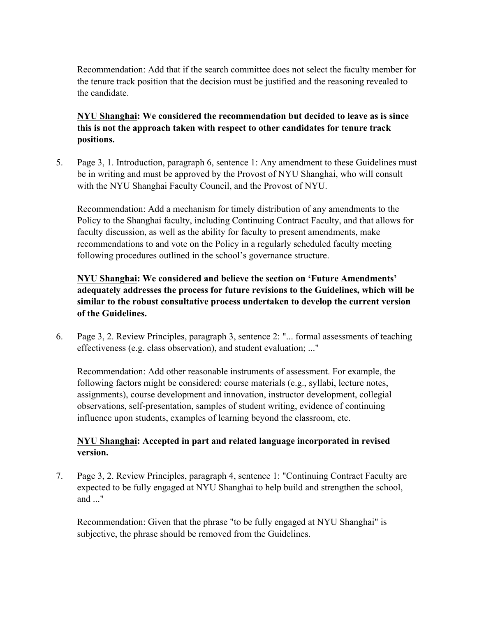Recommendation: Add that if the search committee does not select the faculty member for the tenure track position that the decision must be justified and the reasoning revealed to the candidate.

# **NYU Shanghai: We considered the recommendation but decided to leave as is since this is not the approach taken with respect to other candidates for tenure track positions.**

5. Page 3, 1. Introduction, paragraph 6, sentence 1: Any amendment to these Guidelines must be in writing and must be approved by the Provost of NYU Shanghai, who will consult with the NYU Shanghai Faculty Council, and the Provost of NYU.

Recommendation: Add a mechanism for timely distribution of any amendments to the Policy to the Shanghai faculty, including Continuing Contract Faculty, and that allows for faculty discussion, as well as the ability for faculty to present amendments, make recommendations to and vote on the Policy in a regularly scheduled faculty meeting following procedures outlined in the school's governance structure.

# **NYU Shanghai: We considered and believe the section on 'Future Amendments' adequately addresses the process for future revisions to the Guidelines, which will be similar to the robust consultative process undertaken to develop the current version of the Guidelines.**

6. Page 3, 2. Review Principles, paragraph 3, sentence 2: "... formal assessments of teaching effectiveness (e.g. class observation), and student evaluation; ..."

Recommendation: Add other reasonable instruments of assessment. For example, the following factors might be considered: course materials (e.g., syllabi, lecture notes, assignments), course development and innovation, instructor development, collegial observations, self-presentation, samples of student writing, evidence of continuing influence upon students, examples of learning beyond the classroom, etc.

#### **NYU Shanghai: Accepted in part and related language incorporated in revised version.**

7. Page 3, 2. Review Principles, paragraph 4, sentence 1: "Continuing Contract Faculty are expected to be fully engaged at NYU Shanghai to help build and strengthen the school, and ..."

Recommendation: Given that the phrase "to be fully engaged at NYU Shanghai" is subjective, the phrase should be removed from the Guidelines.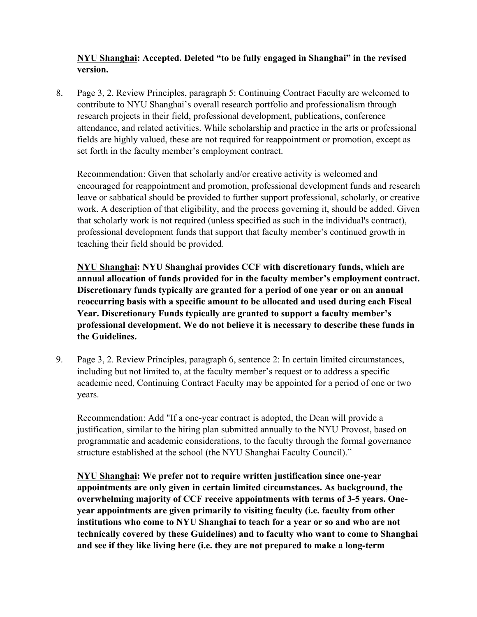#### **NYU Shanghai: Accepted. Deleted "to be fully engaged in Shanghai" in the revised version.**

8. Page 3, 2. Review Principles, paragraph 5: Continuing Contract Faculty are welcomed to contribute to NYU Shanghai's overall research portfolio and professionalism through research projects in their field, professional development, publications, conference attendance, and related activities. While scholarship and practice in the arts or professional fields are highly valued, these are not required for reappointment or promotion, except as set forth in the faculty member's employment contract.

Recommendation: Given that scholarly and/or creative activity is welcomed and encouraged for reappointment and promotion, professional development funds and research leave or sabbatical should be provided to further support professional, scholarly, or creative work. A description of that eligibility, and the process governing it, should be added. Given that scholarly work is not required (unless specified as such in the individual's contract), professional development funds that support that faculty member's continued growth in teaching their field should be provided.

**NYU Shanghai: NYU Shanghai provides CCF with discretionary funds, which are annual allocation of funds provided for in the faculty member's employment contract. Discretionary funds typically are granted for a period of one year or on an annual reoccurring basis with a specific amount to be allocated and used during each Fiscal Year. Discretionary Funds typically are granted to support a faculty member's professional development. We do not believe it is necessary to describe these funds in the Guidelines.**

9. Page 3, 2. Review Principles, paragraph 6, sentence 2: In certain limited circumstances, including but not limited to, at the faculty member's request or to address a specific academic need, Continuing Contract Faculty may be appointed for a period of one or two years.

Recommendation: Add "If a one-year contract is adopted, the Dean will provide a justification, similar to the hiring plan submitted annually to the NYU Provost, based on programmatic and academic considerations, to the faculty through the formal governance structure established at the school (the NYU Shanghai Faculty Council)."

**NYU Shanghai: We prefer not to require written justification since one-year appointments are only given in certain limited circumstances. As background, the overwhelming majority of CCF receive appointments with terms of 3-5 years. Oneyear appointments are given primarily to visiting faculty (i.e. faculty from other institutions who come to NYU Shanghai to teach for a year or so and who are not technically covered by these Guidelines) and to faculty who want to come to Shanghai and see if they like living here (i.e. they are not prepared to make a long-term**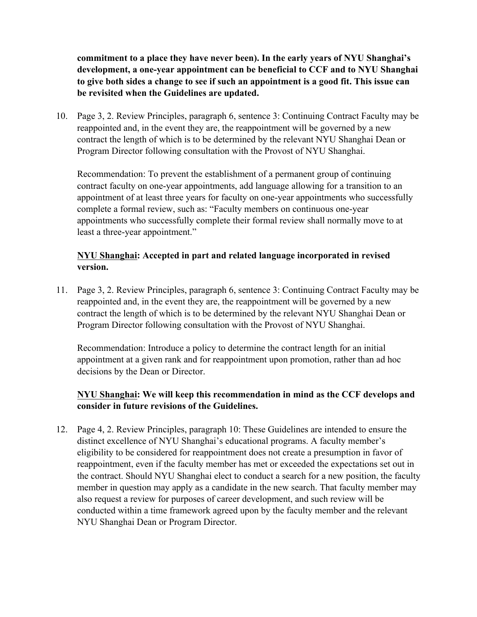**commitment to a place they have never been). In the early years of NYU Shanghai's development, a one-year appointment can be beneficial to CCF and to NYU Shanghai to give both sides a change to see if such an appointment is a good fit. This issue can be revisited when the Guidelines are updated.**

10. Page 3, 2. Review Principles, paragraph 6, sentence 3: Continuing Contract Faculty may be reappointed and, in the event they are, the reappointment will be governed by a new contract the length of which is to be determined by the relevant NYU Shanghai Dean or Program Director following consultation with the Provost of NYU Shanghai.

Recommendation: To prevent the establishment of a permanent group of continuing contract faculty on one-year appointments, add language allowing for a transition to an appointment of at least three years for faculty on one-year appointments who successfully complete a formal review, such as: "Faculty members on continuous one-year appointments who successfully complete their formal review shall normally move to at least a three-year appointment."

## **NYU Shanghai: Accepted in part and related language incorporated in revised version.**

11. Page 3, 2. Review Principles, paragraph 6, sentence 3: Continuing Contract Faculty may be reappointed and, in the event they are, the reappointment will be governed by a new contract the length of which is to be determined by the relevant NYU Shanghai Dean or Program Director following consultation with the Provost of NYU Shanghai.

Recommendation: Introduce a policy to determine the contract length for an initial appointment at a given rank and for reappointment upon promotion, rather than ad hoc decisions by the Dean or Director.

# **NYU Shanghai: We will keep this recommendation in mind as the CCF develops and consider in future revisions of the Guidelines.**

12. Page 4, 2. Review Principles, paragraph 10: These Guidelines are intended to ensure the distinct excellence of NYU Shanghai's educational programs. A faculty member's eligibility to be considered for reappointment does not create a presumption in favor of reappointment, even if the faculty member has met or exceeded the expectations set out in the contract. Should NYU Shanghai elect to conduct a search for a new position, the faculty member in question may apply as a candidate in the new search. That faculty member may also request a review for purposes of career development, and such review will be conducted within a time framework agreed upon by the faculty member and the relevant NYU Shanghai Dean or Program Director.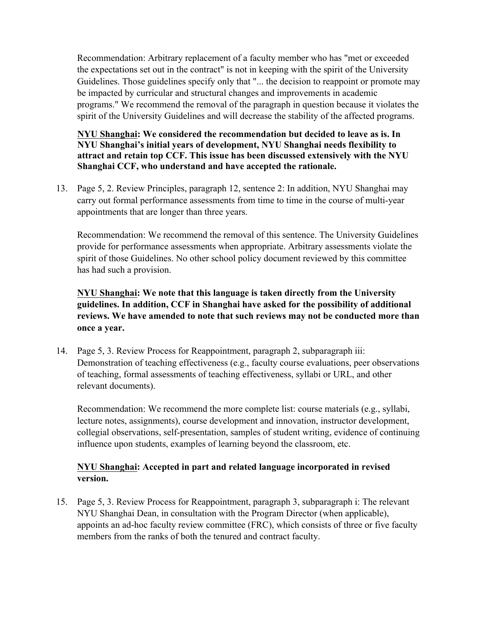Recommendation: Arbitrary replacement of a faculty member who has "met or exceeded the expectations set out in the contract" is not in keeping with the spirit of the University Guidelines. Those guidelines specify only that "... the decision to reappoint or promote may be impacted by curricular and structural changes and improvements in academic programs." We recommend the removal of the paragraph in question because it violates the spirit of the University Guidelines and will decrease the stability of the affected programs.

**NYU Shanghai: We considered the recommendation but decided to leave as is. In NYU Shanghai's initial years of development, NYU Shanghai needs flexibility to attract and retain top CCF. This issue has been discussed extensively with the NYU Shanghai CCF, who understand and have accepted the rationale.**

13. Page 5, 2. Review Principles, paragraph 12, sentence 2: In addition, NYU Shanghai may carry out formal performance assessments from time to time in the course of multi-year appointments that are longer than three years.

Recommendation: We recommend the removal of this sentence. The University Guidelines provide for performance assessments when appropriate. Arbitrary assessments violate the spirit of those Guidelines. No other school policy document reviewed by this committee has had such a provision.

**NYU Shanghai: We note that this language is taken directly from the University guidelines. In addition, CCF in Shanghai have asked for the possibility of additional reviews. We have amended to note that such reviews may not be conducted more than once a year.**

14. Page 5, 3. Review Process for Reappointment, paragraph 2, subparagraph iii: Demonstration of teaching effectiveness (e.g., faculty course evaluations, peer observations of teaching, formal assessments of teaching effectiveness, syllabi or URL, and other relevant documents).

Recommendation: We recommend the more complete list: course materials (e.g., syllabi, lecture notes, assignments), course development and innovation, instructor development, collegial observations, self-presentation, samples of student writing, evidence of continuing influence upon students, examples of learning beyond the classroom, etc.

# **NYU Shanghai: Accepted in part and related language incorporated in revised version.**

15. Page 5, 3. Review Process for Reappointment, paragraph 3, subparagraph i: The relevant NYU Shanghai Dean, in consultation with the Program Director (when applicable), appoints an ad-hoc faculty review committee (FRC), which consists of three or five faculty members from the ranks of both the tenured and contract faculty.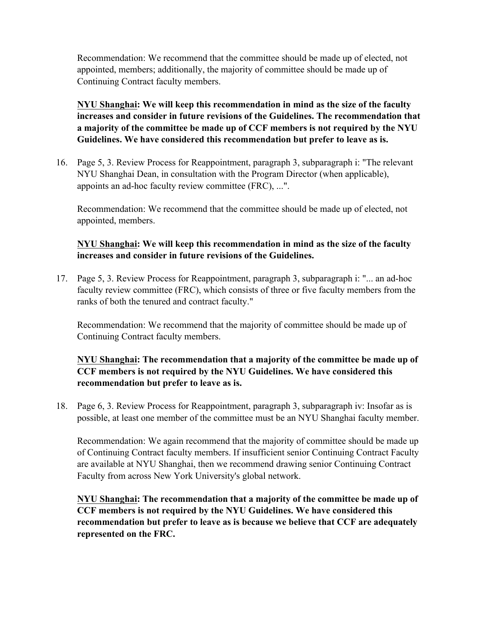Recommendation: We recommend that the committee should be made up of elected, not appointed, members; additionally, the majority of committee should be made up of Continuing Contract faculty members.

# **NYU Shanghai: We will keep this recommendation in mind as the size of the faculty increases and consider in future revisions of the Guidelines. The recommendation that a majority of the committee be made up of CCF members is not required by the NYU Guidelines. We have considered this recommendation but prefer to leave as is.**

16. Page 5, 3. Review Process for Reappointment, paragraph 3, subparagraph i: "The relevant NYU Shanghai Dean, in consultation with the Program Director (when applicable), appoints an ad-hoc faculty review committee (FRC), ...".

Recommendation: We recommend that the committee should be made up of elected, not appointed, members.

#### **NYU Shanghai: We will keep this recommendation in mind as the size of the faculty increases and consider in future revisions of the Guidelines.**

17. Page 5, 3. Review Process for Reappointment, paragraph 3, subparagraph i: "... an ad-hoc faculty review committee (FRC), which consists of three or five faculty members from the ranks of both the tenured and contract faculty."

Recommendation: We recommend that the majority of committee should be made up of Continuing Contract faculty members.

# **NYU Shanghai: The recommendation that a majority of the committee be made up of CCF members is not required by the NYU Guidelines. We have considered this recommendation but prefer to leave as is.**

18. Page 6, 3. Review Process for Reappointment, paragraph 3, subparagraph iv: Insofar as is possible, at least one member of the committee must be an NYU Shanghai faculty member.

Recommendation: We again recommend that the majority of committee should be made up of Continuing Contract faculty members. If insufficient senior Continuing Contract Faculty are available at NYU Shanghai, then we recommend drawing senior Continuing Contract Faculty from across New York University's global network.

**NYU Shanghai: The recommendation that a majority of the committee be made up of CCF members is not required by the NYU Guidelines. We have considered this recommendation but prefer to leave as is because we believe that CCF are adequately represented on the FRC.**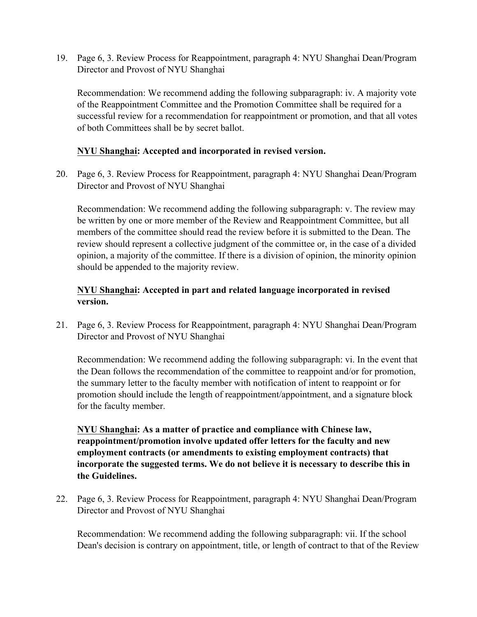19. Page 6, 3. Review Process for Reappointment, paragraph 4: NYU Shanghai Dean/Program Director and Provost of NYU Shanghai

Recommendation: We recommend adding the following subparagraph: iv. A majority vote of the Reappointment Committee and the Promotion Committee shall be required for a successful review for a recommendation for reappointment or promotion, and that all votes of both Committees shall be by secret ballot.

#### **NYU Shanghai: Accepted and incorporated in revised version.**

20. Page 6, 3. Review Process for Reappointment, paragraph 4: NYU Shanghai Dean/Program Director and Provost of NYU Shanghai

Recommendation: We recommend adding the following subparagraph: v. The review may be written by one or more member of the Review and Reappointment Committee, but all members of the committee should read the review before it is submitted to the Dean. The review should represent a collective judgment of the committee or, in the case of a divided opinion, a majority of the committee. If there is a division of opinion, the minority opinion should be appended to the majority review.

# **NYU Shanghai: Accepted in part and related language incorporated in revised version.**

21. Page 6, 3. Review Process for Reappointment, paragraph 4: NYU Shanghai Dean/Program Director and Provost of NYU Shanghai

Recommendation: We recommend adding the following subparagraph: vi. In the event that the Dean follows the recommendation of the committee to reappoint and/or for promotion, the summary letter to the faculty member with notification of intent to reappoint or for promotion should include the length of reappointment/appointment, and a signature block for the faculty member.

**NYU Shanghai: As a matter of practice and compliance with Chinese law, reappointment/promotion involve updated offer letters for the faculty and new employment contracts (or amendments to existing employment contracts) that incorporate the suggested terms. We do not believe it is necessary to describe this in the Guidelines.**

22. Page 6, 3. Review Process for Reappointment, paragraph 4: NYU Shanghai Dean/Program Director and Provost of NYU Shanghai

Recommendation: We recommend adding the following subparagraph: vii. If the school Dean's decision is contrary on appointment, title, or length of contract to that of the Review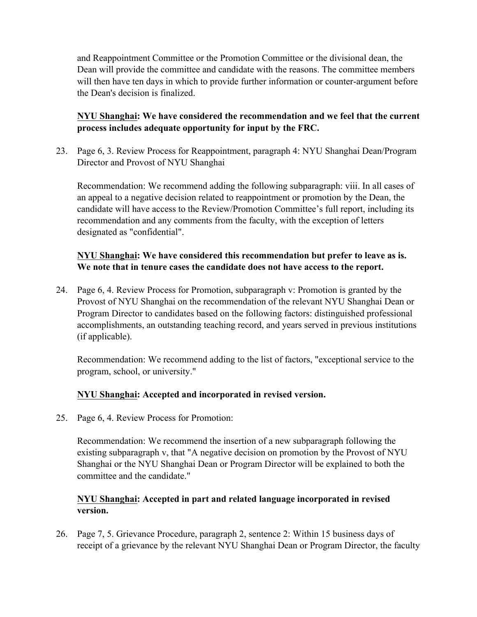and Reappointment Committee or the Promotion Committee or the divisional dean, the Dean will provide the committee and candidate with the reasons. The committee members will then have ten days in which to provide further information or counter-argument before the Dean's decision is finalized.

## **NYU Shanghai: We have considered the recommendation and we feel that the current process includes adequate opportunity for input by the FRC.**

23. Page 6, 3. Review Process for Reappointment, paragraph 4: NYU Shanghai Dean/Program Director and Provost of NYU Shanghai

Recommendation: We recommend adding the following subparagraph: viii. In all cases of an appeal to a negative decision related to reappointment or promotion by the Dean, the candidate will have access to the Review/Promotion Committee's full report, including its recommendation and any comments from the faculty, with the exception of letters designated as "confidential".

## **NYU Shanghai: We have considered this recommendation but prefer to leave as is. We note that in tenure cases the candidate does not have access to the report.**

24. Page 6, 4. Review Process for Promotion, subparagraph v: Promotion is granted by the Provost of NYU Shanghai on the recommendation of the relevant NYU Shanghai Dean or Program Director to candidates based on the following factors: distinguished professional accomplishments, an outstanding teaching record, and years served in previous institutions (if applicable).

Recommendation: We recommend adding to the list of factors, "exceptional service to the program, school, or university."

# **NYU Shanghai: Accepted and incorporated in revised version.**

25. Page 6, 4. Review Process for Promotion:

Recommendation: We recommend the insertion of a new subparagraph following the existing subparagraph v, that "A negative decision on promotion by the Provost of NYU Shanghai or the NYU Shanghai Dean or Program Director will be explained to both the committee and the candidate."

#### **NYU Shanghai: Accepted in part and related language incorporated in revised version.**

26. Page 7, 5. Grievance Procedure, paragraph 2, sentence 2: Within 15 business days of receipt of a grievance by the relevant NYU Shanghai Dean or Program Director, the faculty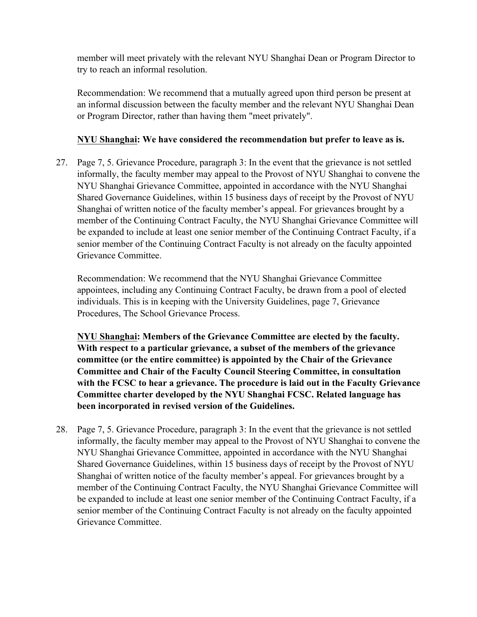member will meet privately with the relevant NYU Shanghai Dean or Program Director to try to reach an informal resolution.

Recommendation: We recommend that a mutually agreed upon third person be present at an informal discussion between the faculty member and the relevant NYU Shanghai Dean or Program Director, rather than having them "meet privately".

## **NYU Shanghai: We have considered the recommendation but prefer to leave as is.**

27. Page 7, 5. Grievance Procedure, paragraph 3: In the event that the grievance is not settled informally, the faculty member may appeal to the Provost of NYU Shanghai to convene the NYU Shanghai Grievance Committee, appointed in accordance with the NYU Shanghai Shared Governance Guidelines, within 15 business days of receipt by the Provost of NYU Shanghai of written notice of the faculty member's appeal. For grievances brought by a member of the Continuing Contract Faculty, the NYU Shanghai Grievance Committee will be expanded to include at least one senior member of the Continuing Contract Faculty, if a senior member of the Continuing Contract Faculty is not already on the faculty appointed Grievance Committee.

Recommendation: We recommend that the NYU Shanghai Grievance Committee appointees, including any Continuing Contract Faculty, be drawn from a pool of elected individuals. This is in keeping with the University Guidelines, page 7, Grievance Procedures, The School Grievance Process.

**NYU Shanghai: Members of the Grievance Committee are elected by the faculty. With respect to a particular grievance, a subset of the members of the grievance committee (or the entire committee) is appointed by the Chair of the Grievance Committee and Chair of the Faculty Council Steering Committee, in consultation with the FCSC to hear a grievance. The procedure is laid out in the Faculty Grievance Committee charter developed by the NYU Shanghai FCSC. Related language has been incorporated in revised version of the Guidelines.**

28. Page 7, 5. Grievance Procedure, paragraph 3: In the event that the grievance is not settled informally, the faculty member may appeal to the Provost of NYU Shanghai to convene the NYU Shanghai Grievance Committee, appointed in accordance with the NYU Shanghai Shared Governance Guidelines, within 15 business days of receipt by the Provost of NYU Shanghai of written notice of the faculty member's appeal. For grievances brought by a member of the Continuing Contract Faculty, the NYU Shanghai Grievance Committee will be expanded to include at least one senior member of the Continuing Contract Faculty, if a senior member of the Continuing Contract Faculty is not already on the faculty appointed Grievance Committee.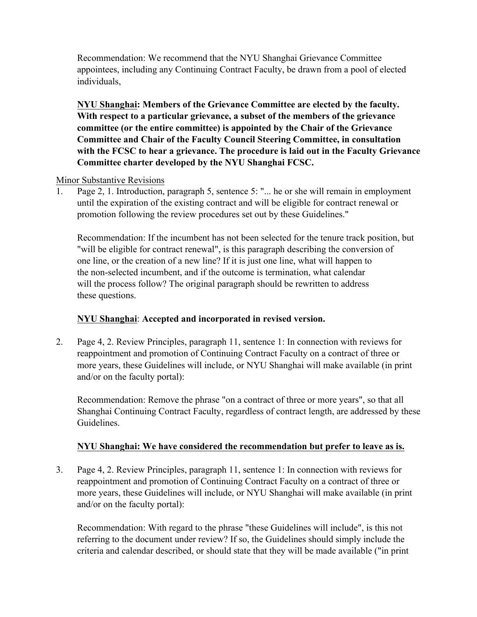Recommendation: We recommend that the NYU Shanghai Grievance Committee appointees, including any Continuing Contract Faculty, be drawn from a pool of elected individuals,

**NYU Shanghai: Members of the Grievance Committee are elected by the faculty. With respect to a particular grievance, a subset of the members of the grievance committee (or the entire committee) is appointed by the Chair of the Grievance Committee and Chair of the Faculty Council Steering Committee, in consultation with the FCSC to hear a grievance. The procedure is laid out in the Faculty Grievance Committee charter developed by the NYU Shanghai FCSC.**

#### Minor Substantive Revisions

1. Page 2, 1. Introduction, paragraph 5, sentence 5: "... he or she will remain in employment until the expiration of the existing contract and will be eligible for contract renewal or promotion following the review procedures set out by these Guidelines."

Recommendation: If the incumbent has not been selected for the tenure track position, but "will be eligible for contract renewal", is this paragraph describing the conversion of one line, or the creation of a new line? If it is just one line, what will happen to the non-selected incumbent, and if the outcome is termination, what calendar will the process follow? The original paragraph should be rewritten to address these questions.

# **NYU Shanghai**: **Accepted and incorporated in revised version.**

2. Page 4, 2. Review Principles, paragraph 11, sentence 1: In connection with reviews for reappointment and promotion of Continuing Contract Faculty on a contract of three or more years, these Guidelines will include, or NYU Shanghai will make available (in print and/or on the faculty portal):

Recommendation: Remove the phrase "on a contract of three or more years", so that all Shanghai Continuing Contract Faculty, regardless of contract length, are addressed by these Guidelines.

# **NYU Shanghai: We have considered the recommendation but prefer to leave as is.**

3. Page 4, 2. Review Principles, paragraph 11, sentence 1: In connection with reviews for reappointment and promotion of Continuing Contract Faculty on a contract of three or more years, these Guidelines will include, or NYU Shanghai will make available (in print and/or on the faculty portal):

Recommendation: With regard to the phrase "these Guidelines will include", is this not referring to the document under review? If so, the Guidelines should simply include the criteria and calendar described, or should state that they will be made available ("in print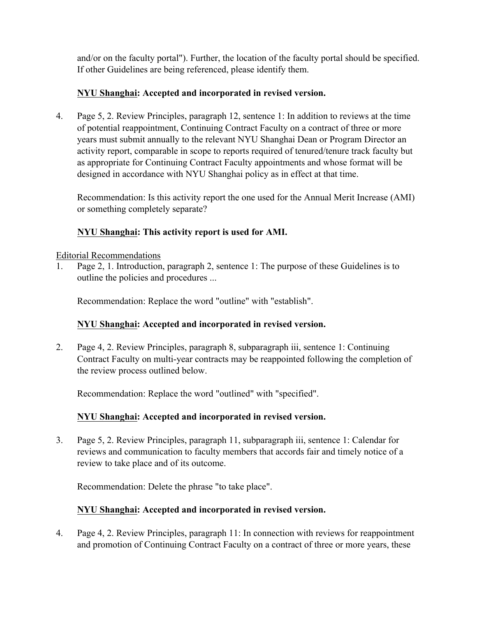and/or on the faculty portal"). Further, the location of the faculty portal should be specified. If other Guidelines are being referenced, please identify them.

# **NYU Shanghai: Accepted and incorporated in revised version.**

4. Page 5, 2. Review Principles, paragraph 12, sentence 1: In addition to reviews at the time of potential reappointment, Continuing Contract Faculty on a contract of three or more years must submit annually to the relevant NYU Shanghai Dean or Program Director an activity report, comparable in scope to reports required of tenured/tenure track faculty but as appropriate for Continuing Contract Faculty appointments and whose format will be designed in accordance with NYU Shanghai policy as in effect at that time.

Recommendation: Is this activity report the one used for the Annual Merit Increase (AMI) or something completely separate?

#### **NYU Shanghai: This activity report is used for AMI.**

Editorial Recommendations

1. Page 2, 1. Introduction, paragraph 2, sentence 1: The purpose of these Guidelines is to outline the policies and procedures ...

Recommendation: Replace the word "outline" with "establish".

# **NYU Shanghai: Accepted and incorporated in revised version.**

2. Page 4, 2. Review Principles, paragraph 8, subparagraph iii, sentence 1: Continuing Contract Faculty on multi-year contracts may be reappointed following the completion of the review process outlined below.

Recommendation: Replace the word "outlined" with "specified".

# **NYU Shanghai: Accepted and incorporated in revised version.**

3. Page 5, 2. Review Principles, paragraph 11, subparagraph iii, sentence 1: Calendar for reviews and communication to faculty members that accords fair and timely notice of a review to take place and of its outcome.

Recommendation: Delete the phrase "to take place".

# **NYU Shanghai: Accepted and incorporated in revised version.**

4. Page 4, 2. Review Principles, paragraph 11: In connection with reviews for reappointment and promotion of Continuing Contract Faculty on a contract of three or more years, these